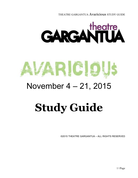# **GARGANTUA**

# ARICIO

# November 4 – 21, 2015

# **Study Guide**

©2015 THEATRE GARGANTUA – ALL RIGHTS RESERVED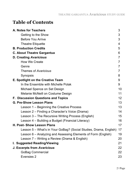# **Table of Contents**

| <b>A. Notes for Teachers</b>                                      | 3  |
|-------------------------------------------------------------------|----|
| Getting to the Show                                               | 3  |
| <b>Before You Arrive</b>                                          | 3  |
| <b>Theatre Etiquette</b>                                          | 4  |
| <b>B. Production Credits</b>                                      | 5  |
| <b>C. About Theatre Gargantua</b>                                 | 6  |
| <b>D. Creating Avaricious</b>                                     | 7  |
| <b>How We Create</b>                                              | 7  |
| Genre                                                             | 7  |
| Themes of Avaricious                                              | 7  |
| Synopsis                                                          | 8  |
| <b>E. Spotlight on the Creative Team</b>                          | 9  |
| In the Ensemble with Michelle Polak                               | 9  |
| Michael Spence on Set Design                                      | 10 |
| Melanie McNeill on Costume Design                                 | 11 |
| <b>F. Discussion Questions and Topics</b>                         | 12 |
| <b>G. Pre-Show Lesson Plans</b>                                   | 13 |
| Lesson 1 – Beginning the Creative Process                         | 13 |
| Lesson 2 – Finding a Character's Voice (Drama)                    | 14 |
| Lesson 3 – The Recursive Writing Process (English)                | 15 |
| Lesson 4 – Building a Budget (Financial Literacy)                 | 16 |
| <b>H. Post-Show Lesson Plans</b>                                  | 17 |
| Lesson 5 - What's in Your GoBag? (Social Studies, Drama, English) | 17 |
| Lesson 6 – Analyzing and Assessing Elements of Form (English)     | 19 |
| Lesson 7 – Writing a Review (Drama & English)                     | 20 |
| I. Suggested Reading/Viewing                                      | 21 |
| <b>J. Excerpts from Avaricious</b>                                | 22 |
| <b>GoBag Commercial</b>                                           | 22 |
| Evensies 2                                                        | 23 |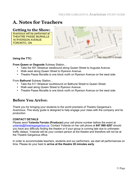# **A. Notes for Teachers**

## **Getting to the Show:**

*Avaricious* will be performed at: THEATRE PASSE MURAILLE 16 RYERSON AVENUE TORONTO, ON



**Using the TTC:**

#### **From Queen or Osgoode** Subway Station…

- Take the 501 Streetcar westbound along Queen Street to Augusta Avenue.
- Walk west along Queen Street to Ryerson Avenue.
- Theatre Passe Muraille is one block north on Ryerson Avenue on the west side.

From **Bathurst** Subway Station…

- Take the 511 Streetcar southbound on Bathurst Street to Queen Street.
- Walk east along Queen Street to Ryerson Avenue.
- Theatre Passe Muraille is one block north on Ryerson Avenue on the west side.

# **Before You Arrive:**

Thank you for bringing your students to the world premiere of Theatre Gargantua's *Avaricious.* This study guide is designed to help engage your class with the company and its production.

#### **CONTACT DETAILS**

Please send **Yolanda Ferrato (Producer)** your cell phone number before the event at yolanda@theatregargantua.ca. Contact Yolanda on her cell phone at **647 999 4207** should you have any difficulty finding the theatre or if your group is running late due to unforseen traffic delays. Yolanda will be your contact person at the theatre and therefore will not be at the Theatre Gargantua office.

In order to accommodate teachers, students and our performers, we start all performances on time. Please do your best to **arrive at the theatre 20 minutes early**.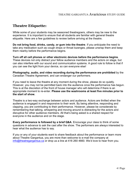## **Theatre Etiquette:**

While some of your students may be seasoned theatregoers, others may be new to the experience. It is important to ensure that all students are familiar with general theatre etiquette. Here are a few guidelines to review before arriving at the theatre.

**Do not bring food, drinks, candy, or gum into the theatre**. If you anticipate the need to take any medication such as cough drops or throat lozenges, please unwrap them and keep them nearby before the performance begins.

**Turn off all cell phones or other electronic devices before the performance begins**. These devices not only distract your fellow audience members and the actors on stage, but can also interfere with our sound and communication systems. A good rule to follow is that if you can see the light from your device, so can everyone else!

**Photography, audio, and video recording during the performance are prohibited** by the Canadian Theatre Agreement, and can endanger our performers.

If you need to leave the theatre at any moment during the show, please do so quietly. However, you may not be permitted back into the audience once the performance has begun. This is at the discretion of the front of house manager who will determine if there is an appropriate moment to re-enter. **Please use the washrooms at least five minutes prior to the start of show.** 

Theatre is a two-way exchange between actors and audience. Actors are thrilled when the audience is engaged in and responsive to their work. By being attentive, responding and clapping, you are contributing to their performance. However, please be considerate by remembering that talking, whispering and moving around is distracting for the actors and disruptive for other audience members. All that's being asked is a shared respect for everyone in the audience and on the stage.

**Every performance is followed by a brief Q&A**. Encourage your class to think of some questions in advance to ask the cast after the show. The performers are *always* interested to hear what the audience has to say.

If you or any of your students want to share feedback about the performance or learn more about Theatre Gargantua, you are more than welcome to e-mail the company at info@theatregargantua.ca or drop us a line at 416 260 4660. We'd love to hear from you.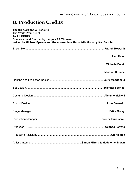# **B. Production Credits**

| <b>Theatre Gargantua Presents</b><br>The World Premiere of                                                                                       |                       |
|--------------------------------------------------------------------------------------------------------------------------------------------------|-----------------------|
| <b>AVARICIOUS</b><br>Conceived and Directed by Jacquie PA Thomas<br>Written by Michael Spence and the ensemble with contributions by Kat Sandler |                       |
|                                                                                                                                                  |                       |
|                                                                                                                                                  | <b>Pam Patel</b>      |
|                                                                                                                                                  | <b>Michelle Polak</b> |
|                                                                                                                                                  | <b>Michael Spence</b> |
|                                                                                                                                                  |                       |
|                                                                                                                                                  |                       |
|                                                                                                                                                  |                       |
|                                                                                                                                                  |                       |
|                                                                                                                                                  |                       |
|                                                                                                                                                  |                       |
|                                                                                                                                                  |                       |
|                                                                                                                                                  |                       |
|                                                                                                                                                  |                       |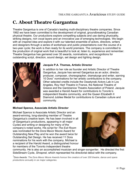# **C. About Theatre Gargantua**

Theatre Gargantua is one of Canada's leading multi-disciplinary theatre companies. Since 1992 we have been committed to the development of original, groundbreaking Canadian physical theatre. Our productions explore compelling subjects and use daring physicality, striking designs, rich vocal layers and an innovative use of emerging technologies. We begin with an inspired idea and explore it with our talented ensemble of actors, directors, writers and designers through a series of workshops and public presentations over the course of a two-year cycle; the work is then ready for its world premiere. The company is committed to the production of original work that is beautiful to look at, listen to, experience and remember. Theatre Gargantua has garnered over 30 awards, nominations, and recognitions for outstanding script, direction, sound design, set design and lighting design.



#### **Jacquie P.A. Thomas, Artistic Director**

In addition to her role as founder and Artistic Director of Theatre Gargantua, Jacquie has served Gargantua as an actor, director, producer, composer, choreographer, dramaturge and writer, earning 10 Dora<sup>1</sup> nominations for her artistic contributions to the company. Other selected credits include the Ossetynski Actors Lab in Los Angeles, Roy Hart Theatre in France, the National Theatre of Greece and the Gardzienice Theatre Association of Poland. Jacquie was awarded a Harold Award for contributions to Toronto's independent theatre community, and the Queen Elizabeth II Diamond Jubilee Medal for contributions to Canadian culture and community.

#### **Michael Spence, Associate Artistic Director**

Michael Spence is Associate Artistic Director and an award-winning, long-standing member of Theatre Gargantua's creative team. He has been involved in all of Gargantua's productions, appearing in all major Cycles and writing or designing for many of the company's noted works. His script for *The Exit Room* was nominated for the Dora Mavor Moore Award for Outstanding New Play and he won the award twice for Outstanding Set Design. He has received 11 Dora nominations for his work with the company. Michael is a recipient of the Harold Award, a distinguished honour for members of the Toronto independent theatre



community. He is also an accomplished musician and singer-songwriter. He directed the first SideStream Cycle, *Shrapnel*, which represented his directorial debut with the company.

*1 Dora Awards: The Dora Mavor Moore Awards honour the creators of over 200 theatre, dance and opera productions annually in six major categories.*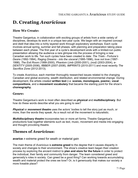# **D. Creating** *Avaricious*

## **How We Create:**

Theatre Gargantua, in collaboration with exciting groups of artists from a wide variety of disciplines, develops its work in a unique two-year cycle. We begin with an inspired concept and distil that idea into a richly layered work through exploratory workshops. Each cycle involves annual spring, summer and fall phases, with planning and preparation taking place between each phase. The first year of a cycle's development ends with a limited-run public presentation allowing the audience a rare glimpse into the process of bringing a new Canadian work to life. Ten such cycles have been created to date: *The Trials - Fortune's Desire* (1992-1994)*, Raging Dreams - into the visceral* (1995-1996)*, love not love* (1997- 1998)*, The Exit Room* (1999-2000)*, Phantom Limb* (2000-2001)*, (nod)* (2003-2004)*, e-DENTITY* (2005-2006)*, fIBBER* (2007-2008)*, IMPRINTS* (2010-2011) and most recently *The Sacrifice Zone* (2012-2013)*.*

To create *Avaricious,* each member thoroughly researched issues related to the changing Canadian and global economy, wealth distribution, and related environmental change. During development, the artists created **written text** (i.e. **scenes, monologues, poems**), **vocal compositions**, and a **movement vocabulary** that became the starting point for the show's **choreography.** 

#### **Genre:**

Theatre Gargantua's work is most often described as **physical** and **multidisciplinary**. But how do these words describe what you are going to see?

*Physical* or *movement theatre* uses the actors' bodies to tell the story just as much, or more, than the words they speak. As a result not all the movement is naturalistic.

*Multidisciplinary theatre* incorporates two or more art forms. Theatre Gargantua's productions fuse together elements such as text, music, movement and media into engaging and thought provoking theatre.

## **Themes of** *Avaricious***:**

**avarice** *n* extreme greed for weath or material gain

The main theme of *Avaricious* is **extreme greed** to the degree that it causes disparity in society and changes to their environment*.* The show's creative team began their creation process by exploring the ancient instinct to **plan and store for the future** in order to protect the individual, their family and community from danger. The team considered greed and generosity's roles in society. Can greed be a good thing? Can working towards accumulating wealth and material protect the ones we love? Or, is it generousity that makes our society a more liveable place?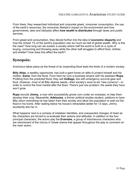From there, they researched individual and corporate greed, consumer consumption, the use of the earth's resources, the consumer lifestyle's impact on the environment and how governments, laws and lobbyists affect **how wealth is distributed** through taxes and public services.

From greed and consumption, they delved further into the idea of **economic disparity** and how the richest 1% of the world's population own as much as half of global wealth. Why is this the case? How long can we sustain a society where half the world is built on a cycle of buying, consuming and throwing away while the other half struggles to afford food, clothes and shelter? How does this affect the earth?

# **Synopsis:**

*Avaricious* takes place as the threat of an impending flood tests the limits of a modern society.

**Billy Atlas,** a wealthy opportunist, has built a giant home on stilts to protect himself and his mother, **Esme**, from the flood. From here he runs a business empire with his assistant **Rupa.** Profiting from the predicted flood, they sell **GoBags,** kits with emergency survival gear and food. However, most of all Billy desires seeds—their society's soon-to-be "new currency"—in order to control the food market after the flood. There's just one problem: the seeds they have won't grow.

**Rupa** recruits **Jimmy**, a man who successfully grows corn under an overpass, to help them develop their crop. Meanwhile, **Adelouise**, a former political studies student, petitions to have Billy return everything he has taken from their society and allow the population to wait out the flood in his home. After waiting below his house's retractable ladder for 13 days, Jimmy accidently lets her in.

What happens next is a comedy of mistaken identities, and unexpected changes of heart as the characters are forced to re-evaluate their actions and attitudes. In addition to the four principal characters, the actors play the **Evensies**, a group of mischievous characters who are reminiscent of the chorus in Greek drama that appear throughout the play to comment on the main action.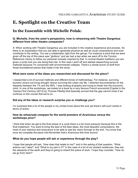# **E. Spotlight on the Creative Team**

# **In the Ensemble with Michelle Polak:**

#### **Q: Michelle, from the actor's perspective, how is rehearsing with Theatre Gargantua different from other theatre companies?**

A: When working with Theatre Gargantua you are included in the creative experience and process. So there is an expectation that you are able to generate physical as well as vocal compositions and even contribute to the writing. You are a collaborator right from the get-go. For instance a word that we were given off the top of this piece was "gluttony" and we had a day when we went off to the Toronto Reference Library to follow our personal curiosity inspired by that. In normal theatre traditions you are given a script and you are doing that role. In this case I went off and started researching survival methods because I'm concerned with environmental collapse. There's a whole bunch of stuff from those foundational pieces that made it into the show.

#### **What were some of the ideas you researched and discussed for the piece?**

I researched a lot of survival methods and different kinds of methodology. For instance, surviving tsunami versus surviving drought versus surviving the urban city life. I watched documentaries on the disparity between the 1% and the 99%. I was looking at graphs and trying to break into the economic mind. In one of the workshops, we looked at a book by a very famous French economist [*Capital in the Twenty-First Century* (2013) by Thomas Piketty] that basically proved that the gap cannot close if we continue on the course that we're on.

#### **Did any of the ideas or research surprise you or challenge you?**

I'm surprised that a lot of the people in my circles know about this and yet there's still such inertia in terms of action.

#### **How do rehearsals compare for the world premiere of** *Avaricious* **versus the workshops prior?**

I think that when we get to the final phase of a cycle there is a bit more pressure because this is the final instalment. You want to bring the best of the best ideas, the most beautiful compositions, the most of your stamina and endurance to be able to see the vision through to the end. You know that once we complete the piece mid-November that's *Avaricious* this time around.

#### **What do you hope people will ask or experience through the play?**

I hope that people will ask, "How does that relate to me?" and in the asking of that question, "What actions can I take?" and "What is my part in it?" In the case of a lot of our student audiences, they are the stewards of the earth and they're going to inherit this piece of work. I hope they consider, "How do we go from here?"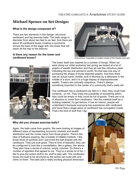# **Michael Spence on Set Design:**

#### **What is the design composed of?**

There are two elements in this design: structural cardboard and big exercise balls. The balls range in diameter from about two feet to six feet. And there are about 50 cardboard boxes creating a cyclorama across the back of the stage with one tower that will reach all the way to the balcony.

#### **Is there any reason for the tower and cardboard boxes?**



*Avarvicious'* maquette (a scaled model of the theatre and set)



The tower itself was inspired by a number of things. When we were doing our initial workshop last spring we looked at a lot of graphs of wealth distribution and they all had this ridiculous peak indicating the top one percent's worth. So that was one way of portraying the shape of those distorted graphs. And then there was an actual tower, Antillia, built in Mumbai by a billionaire in the middle of a slum, and it is a huge display of disproportionate wealth. Towers are culturally ubiquitous. There's always something important in the center of a community that's really tall.

The cardboard has a cardboard-city feel to it. Also, they could hold contents…or not. They imply the possibility of something within; they could be empty or they could be full of goods. There are a lot of allusions to come from cardboard. I like the material itself as a building material; it's got texture, it has an interior, people will understand it because everyone has experience with cardboard and know that a single piece of cardboard has corrugation inside. That's the kind of stuff that I dig.

#### **Why did you choose exercise balls?**

Again, the balls came from graphs. We were looking at images of different ways of representing economic markets and wealth distribution and the circles came from those graphs. There's the idea of balloons popping, like a bubble of inflated markets. I like those kinds of symbols and I just loved the ball shapes with the cardboard. They just look great. They're kind of beautiful, they can be configured to look like a constellation, like a galaxy, like atoms. They also have a sense of volume, empty volumes. So there's a number of signifiers that appeal to me. They're a whole lot of fun. I like to give the actors stuff to do, stuff to play with. The cardboard boxes are built to be structural so the actors can build with and climb on them. The balls add a really exciting physical dimension.

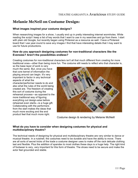# **Melanie McNeil on Costume Design:**

#### **What images inspired your costume designs?**

When researching images for a show, I usually end up in pretty interesting internet wormholes. While reading the script I keep a list of key words that I want to use in my searches and go from there. I start with plain old Google, but recently began using Pinterest as a resource as well. I have a Pinterest board that I use year-round to save any images I find that have interesting details that I may want to use for future productions.

#### **How do you approach designing costumes for non-traditional characters like the Evensies? Aren't the possibilities endless?**

Creating costumes for non-traditional characters isn't all that much different from creating for more traditional ones—other than being more fun. The costume still needs to reflect who that character is,

so the base layer of work is very much the same. But, once you have that core kernel of information the playing around can begin. It's very important to factor in any technical aspects of what the character/performer needs to do and also what the rules of the world being created are. The freedom of creating this sort of costume during the rehearsal process—as opposed to the more traditional way of figuring everything out design-wise before rehearsal even starts—is a huge gift. Collaborating with the performers from the start makes the ideas that much more exciting and the end product feel that much more right.



Costume design & rendering by Melanie McNeill

#### **What do you have to consider when designing costumes for physical and multidisciplinary theatre?**

The technical needs of designing for physical and multidisciplinary theatre are very similar to dance or musical theatre. In a nutshell, the costumes need to be durable and have the ability to move. There are all sorts of secret tricks of the trade a costume designer uses to make off the rack delicate clothing last and flexible. Plus the addition of spandex to most clothes these days is a huge help. The right kind of footwear is very, very important for this form of theatre. The shoes need to be secure and make the actor feel grounded and stable.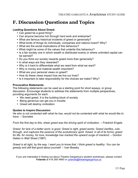# **F. Discussion Questions and Topics**

#### **Leading Questions About Greed:**

- Can greed be a good thing?
- Can anyone become rich through hard work and enterprise?
- What are famous historical incidents of greed or generosity?
- What kinds of things do individuals, companies and nations hoard? Why?
- What are the social implications of this behaviour?
- What might be some of the values that underlie this behaviour?
- Is a fair society one in which wealth is distributed evenly or where unlimited capital can be earned?
- Do you think our society rewards greed more than generosity?
- In what ways are they rewarded?
- Why is it hard to differentiate what we need from what we want?
- Why is money and material wealth important?
- What are your personal views on greed?
- How do these views impact how we live our lives?
- Is it important to take responsibility for the choices we make? Why?

#### **Provocative Statements:**

The following statements can be used as a starting point for short essays, or group discussion. Encourage students to address the statements from multiple perspectives, providing arguments for each.

- We need greed. It is the building block of society.
- Being generous can get you in trouble.
- Greed will destroy civilization.

#### **Quotes to Inspire Discussion:**

*He who is not contented with what he has, would not be contented with what he would like to have.* – Socrates

*From the first day to this, sheer greed was the driving spirit of civilization.* – Friedrich Engels

*Greed, for lack of a better word, is good. Greed is right, greed works. Greed clarifies, cuts through, and captures the essence of the evolutionary spirit. Greed, in all of its forms; greed*  for life, for money, for love, knowledge has marked the upward surge of mankind. – Gordon Gekko in *Wall Street* (1987)

*Greed is all right, by the way. I want you to know that. I think greed is healthy. You can be greedy and still feel good about yourself.* – Ivan Boesky

If you are interested in finding out about Theatre Gargantua's student workshops, please contact **Yolanda** at 416 260 4660 or yolanda@theatregargantua.ca.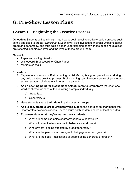# **G. Pre-Show Lesson Plans**

## **Lesson 1 – Beginning the Creative Process**

**Objective:** Students will gain insight into how to begin a collaborative creation process such as the one used to create *Avaricious*. Students will also investigate their assumptions about greed and generosity, and thus gain a better understanding of how these opposing qualities are reflected in their own lives and the lives of those around them.

#### **Materials:**

- Paper and writing utensils
- Whiteboard, Blackboard, or Chart Paper
- Markers or chalk

#### **Procedure:**

- 1. Explain to students how Brainstorming or List Making is a great place to start during any collaborative creative process. Brainstorming can give you a sense of your interest as well as your collaborator's interest in a given topic.
- 2. **As an opening point for discussion: Ask students to Brainstorm** (at least) one word or phrase for each of the following prompts, individually:
	- a) Greed is…
	- b) Generosity is…
- 3. Have students **share their ideas** in pairs or small groups.
- 4. **As a class, create a larger Brainstorming List** on the board or on chart paper that incorporates everyone's ideas. Try to ensure each student shares at least one idea.
- **5. To consolidate what they've learned, ask students:** 
	- a) What are some examples of greedy/generous behaviour?
	- b) What might motivate someone to behave a certain way?
	- c) Who or what is being affected by greed/generosity?
	- d) What are the personal advantages to being generous or greedy?
	- e) What are the social implications of people being generous or greedy?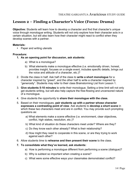## **Lesson 2 – Finding a Character's Voice (Focus: Drama)**

**Objective:** Students will learn how to develop a character and find that character's unique voice through monologue writing. Students will not only explore how their character acts in a certain situation, but will also learn how their character might react to conflict when they develop scenes with a partner.

#### **Materials:**

• Paper and writing utensils

#### **Procedure:**

- **1. As an opening point for discussion, ask students:** 
	- a) What is a monologue?
	- b) What elements make a monologue effective (i.e. emotionally driven, honest, provides insight, focuses on a single event, includes specific details, brings out the voice and attitude of a character, etc.)?
- 2. Divide the class in half. Ask half of the class to **write a short monologue** for a character inspired by "greed", and the other half to write a character inspired by "generosity". Students may refer to their class Brainstorming List from Lesson 1.
- 3. **Give students 5-10 minutes** to write their monologue. Setting a time limit will not only get students writing, but will also help capture the free-flowing and uncensored nature of a monologue.
- 4. Give students the opportunity to **share their monologue with the class**.
- 5. Based on their monologues, **pair students up with a partner whose character expresses a contrasting point of view**. Ask students to **develop a short scene** in which these two characters meet and are in conflict. You may provide such prompting questions as:
	- a) What elements make a scene effective (i.e. environment, clear objectives, conflict, high stakes, resolution, etc.)?
	- b) What kind of situation do these characters meet under? Where are they?
	- c) Do they know each other already? What is their relationship?
	- d) How might they need to cooperate in this scene, or are they trying to work against each other?
- 6. Allow students time to **rehearse and then present their scene** to the class.
- **7. To consolidate what they've learned, ask students:** 
	- a) How is performing a monologue different from performing a scene (dialogue)?
	- b) Why is subtext so important when creating a scene?
	- c) What were some effective ways your classmates demonstrated conflict?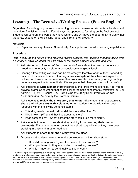# **Lesson 3 – The Recursive Writing Process (Focus: English)**

**Objective:** By undergoing the recursive writing process themselves, students will understand the value of revisiting ideas in different ways, as opposed to focusing on the final product. Students will confront the words they have written, and will have the opportunity to clarify their thoughts, expand on their existing ideas, and stretch their creativity.

#### **Materials:**

• Paper and writing utensils (Alternatively: A computer with word processing capabilities)

#### **Procedure:**

*Note: Following the nature of the recursive writing process, this lesson is meant to occur over a number of days. Students will chip away at the writing process one step at a time.*

- 1. Ask students to free write<sup>1</sup> from their point of view about their own experience of greed and generosity on either a personal, social or global level.
- 2. Sharing a free writing exercise can be extremely vulnerable for an author. Depending on your class, students can voluntarily **share excerpts of their free writing** out loud, or they can have a partner read over their work silently. Often what you begin writing becomes inspiration for an entirely different piece that changes over multiple drafts.
- 3. Ask students to **write a short story** inspired by their free-writing exercise. Feel free to provide examples of writing that share similar thematic concerns to *Avaricious* (ex. *The Lorax* (1971) by Dr. Seuss, *The Giving Tree* (1964) by Shel Silverstein, or *The Fisherman and His Wife* by the Brothers Grimm).
- 4. Ask students to **review the short story they wrote**. Give students an opportunity to **share their short story with a classmate**. Ask students to provide written peer feedback with the following sentence stems:
	- This story made me feel... (How did the story affect them?)
	- I liked how... (What did they like about the story?)
	- I was confused by... (What part of the story could use more clarity?)
- 5. Ask students to return to their short story **and try incorporating their peer's comments**. Encourage them to connect their short story with what they have been studying in class and in other readings.
- 6. Ask students to **share their short story with the class**.
- 7. Discuss what students learned over the development of their short story:
	- How did working from a given theme affect their process?
	- What problems did they encounter in the writing process?
	- Why is it important to continually edit your work?

<sup>&</sup>lt;sup>1</sup>Free write: a pre-writing technique in which a person writes continuously for a set period of time without restraint. It usually produces raw, often unusable material, but helps writers overcome blocks of apathy and self-criticism. Sometimes referred to as stream-of-consciousness writing, this is a literary style in which a character's thoughts, feelings, and reactions are depicted in a continuous flow uninterrupted by objective description or conventional dialogue. James Joyce, Virginia Woolf, and Marcel Proust are among its notable early exponents.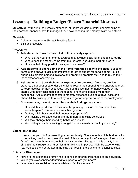# **Lesson 4 – Building a Budget (Focus: Financial Literacy)**

**Objective:** By tracking their weekly expenses, students will gain a better understanding of their personal finances, how to manage it, and how donating their money might help others.

#### **Materials:**

- Calendar, Agenda, or Budget Tracking Sheet
- Bills and Receipts

#### **Procedure:**

- 1. **Ask students to write down a list of their weekly expenses**:
	- What do they put their money towards (i.e. savings, socializing, shopping, food)?
	- Where does the money come from (i.e. parents, guardians, part-time job)?
	- How much do they **predict** they spend in a week?
- 2. **Ask students to share some of the items from their list with the class**. Based on some of the answers, ask students if they forgot to budget for certain items (i.e. cell phone bills, transit, personal hygiene and grooming products etc.) and to revise their list of expenses accordingly.
- 3. **Ask students to track their actual expenses for one week.** You may provide students a handout or calendar on which to record their spending and encourage them to keep receipts for their expenses. Agree as a class that no money values will be shared with other classmates or the teacher and their expenses will remain confidential. Ask students to factor in monthly expenses such as a travel pass or a phone bill by dividing the total cost by four to get an approximation of the weekly cost.
- 4. One week later, **have students discuss their findings as a class**:
	- How did their prediction of their weekly spending compare to how much they actually spent? How accurate was their guess?
	- Do they think they spend their money appropriately?
	- Did tracking their expenses make them more financially conscious?
	- Will they change their spending habits as a result?
	- Would they consider creating a budget for their weekly or monthly spending?

#### **Extension Activity:**

In small groups of 4-5 representing a nuclear family: Give students a tight budget, a list of items they need to purchase, the cost of those items (a list of average prices or local flyers), and have them allocate their family spending. The goal of this activity is to simulate the struggle and hardships a family living in poverty might be experiencing (ex. Adelouise is a character in the play that lives in the slums of a fictional society).

#### **Points for Discussion:**

- How are the expenses a family has to consider different from those of an individual?
- Would you ever consider donating to support a family in need?
- What are some social services available to families in need?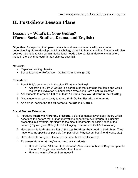# **H. Post-Show Lesson Plans**

## **Lesson 5 – What's in Your GoBag? (Focus: Social Studies, Drama, and English)**

**Objective:** By exploring their personal wants and needs, students will gain a better understanding of how developmental psychology plays into human survival. Students will also develop insight as to why certain motivational needs drive particular decisions characters make in the play that result in their ultimate downfall.

#### **Materials:**

- Paper and writing utensils
- Script Excerpt for Reference GoBag Commercial (p. 22)

#### **Procedure:**

- 1. Recall Billy's commercial in the play. **What is a GoBag?**
	- According to Billy: A GoBag is a portable kit that contains the items one would require to survive for 72 hours when evacuating from a natural disaster.
- 2. Ask students to **create a list of at least 10 items they would want in their GoBag**.
- 3. Give students an opportunity to **share their GoBag list with a classmate**.
- 4. As a class, decide the **top 10 items to include in a GoBag**.

#### **Social Studies Extension:**

- 1. Introduce **Maslow's Hierarchy of Needs**, a developmental psychology theory which describes the pattern that human motivations generally move through. It is usually presented in a pyramid, starting with the most fundamental or basic needs at the bottom (Physiological, Safety, Love/Belonging, Esteem, and Self-Actualization).
- 2. Have students **brainstorm a list of the top 10 things they need in their lives**. They have to be as specific as possible (i.e. pet rabbit, PlayStation, best friend, yoga, etc.).
- 3. Have students categorize these needs under Maslow's Hierarchy.
- 4. **To consolidate what they've learned, ask students:** 
	- How do the top 10 items students *wanted* to include in their GoBags compare to the top 10 things they *needed* in their lives?
	- How are wants different from needs?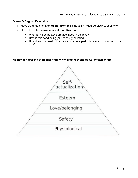#### **Drama & English Extension:**

- 1. Have students **pick a character from the play** (Billy, Rupa, Adelouise, or Jimmy).
- 2. Have students **explore character motivation**:
	- What is this character's greatest need in the play?
	- How is this need being (or not being) satisfied?
	- How does this need influence a character's particular decision or action in the play?

#### **Maslow's Hierarchy of Needs: http://www.simplypsychology.org/maslow.html**

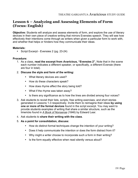## **Lesson 6 – Analyzing and Assessing Elements of Form (Focus: English)**

**Objective:** Students will analyze and assess elements of form, and explore the use of literary devices in their own piece of creative writing that mirrors Evensies speech. They will see how effectively their intentions come through as writers when given a particular form to work with, and whether that helps or hinders how they communicate their ideas.

#### **Materials:**

• Script Excerpt - Evensies 2 (pg. 23-24)

#### **Procedure:**

- 1. As a class, **read the excerpt from** *Avaricious,* **"Evensies 2".** Note that in the scene each number indicates a different speaker, or specifically, a different Evensie (there are four in total).
- 2. **Discuss the style and form of the writing:** 
	- What literary devices are used?
	- How do these characters speak?
	- How does rhyme affect the story being told?
	- What if the rhyme was taken away?
	- Is there any significance as to how the lines are divided among four voices?
- 3. Ask students to revisit their lists, scripts, free writing exercises, and short stories generated in Lessons 1-3 respectively. Invite them to reimagine their ideas **by using one or more of the formal devices** found in the script excerpt. You may want to provide students examples of writing that share a similar structure, such as the limericks found in *A Book of Nonsense* (1846) by Edward Lear.
- 4. Ask students to **share their writing with the class**.
- 5. **As a point for consolidation, discuss:** 
	- How do distinct formal techniques change the intention of your writing?
	- Does it help communicate the intention or does the form distract from it?
	- Why might a writer choose to incorporate such a form in their writing?
	- Is the form equally effective when read silently versus aloud?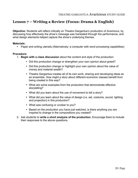# **Lesson 7 – Writing a Review (Focus: Drama & English)**

**Objective:** Students will reflect critically on Theatre Gargantua's production of *Avaricious*, by discussing how effectively the show's message was translated through the performance, and what design elements helped capture the show's underlying themes.

#### **Materials:**

• Paper and writing utensils (Alternatively: a computer with word processing capabilities)

#### **Procedure:**

- 1. **Begin with a class discussion** about the content and style of the production:
	- Did this production change or strengthen your own opinion about greed?
	- Did this production change or highlight your own opinion about the value of money and material wealth?
	- Theatre Gargantua creates all of its own work, sharing and developing ideas as an ensemble. How might a story about different economic classes benefit from being created in this way?
	- What are some examples from the production that demonstrate effective storytelling?
	- What did you learn about the use of movement to tell a story?
	- What did you learn about the value of design (i.e. set, costume, sound, lighting and projection) in this production?
	- What was confusing or unclear to you?
	- Based on the production you have just watched, is there anything you are inspired to change in the compositions you created?
- 2. Ask students to **write a short analysis of the production**. Encourage them to include their responses to the above questions.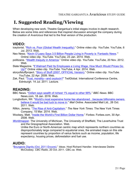# **I. Suggested Reading/Viewing**

When developing new work, Theatre Gargantua's initial stages involve in-depth research. Below are some links and references that inspired discussion amongst the company during the creation of *Avaricious* that led to the final version of the production*.*

## **VIDEO:**

- iceylonist. "Rich vs. Poor (Global Wealth Inequality)." Online video clip. *YouTube*. YouTube, 6 Jul. 2013. Web.
- Neo Newz. "Kevin O'Leary Says 3.5 Billion People Living in Poverty is 'Fantastic News."" Online video clip. *YouTube*. YouTube, 23 Jan. 2014. Web.
- politizane. "Wealth Inequity in America." Online video clip. *YouTube.* YouTube, 20 Nov. 2012. Web.
- Slate Magazine. "If Walmart Paid Its Employees a Living Wage, How Much Would Prices Go Up?" Online video clip. *YouTube*. YouTube, 4 Apr. 2014. Web.
- storyofstuffproject. "Story of Stuff (2007, OFFICIAL Version)." Online video clip. *YouTube.*  YouTube, 22 Apr. 2009. Web.
- Zak, Paul. "Trust, morality—and oxytocin?" TedGlobal. International Conference Centre, Edinburgh. 14 Jul. 2011. Lecture.

## **READING:**

- BBC News. "Oxfam says wealth of richest 1% equal to other 99%." *BBC News.* BBC News.com, 18 Jan. 2016. Web.
- Longbottom, Wil. "World's most expensive home lies abandoned…because billionaire owners believe it would be bad luck to move in." *Mail Online*. Associated Mail Ltd., 26 Oct. 2011. Web.
- Rifkin, Jeremy. "The Rise of Anti-Capitalism." *The New York Times.* The New York Times Company, 15 Mar. 2014. Web.
- Woolsey, Matt. "Inside the World's First Billion Dollar Home." *Forbes*. Forbes.com, 30 Apr. 2008. Web.
- *Worldmapper*. The University of Michican, The University of Sheffield, The Leverhulme Trust and the Greographical Association. Web.

Unlike the Euro or North-American centric map which represents northern countries as disproportionately large compared to equatorial ones, the animated maps on this site represent countries by proportion of varius factors such as income, population, life expectancy, housing prices, deforestation and fuel use.

## **AUDIO:**

"Bourgeois Dignity (Oct. 2011 Encore)." *Ideas*. Host Richard Handler. Interviewee Deidre McCloskey. *CBC Radio*, 20 Oct. 2011. CBC.ca. Web.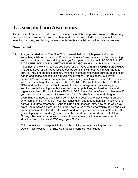# **J. Excerpts from Avaricious**

These excerpts were selected before the final version of the script was produced. There may be differences between what you read here and what is presented. Generating material, selecting, revising, and testing the work on its feet is a crucial part of the creative process.

### **Commercial**

Billy Are you worried about The Flood? Concerned that you might panic and forget something vital? Anxious about Post-Flood Survival? Well, you should be. It's coming, so don't wait around like a sitting duck, you're a person, not a duck SO DON'T JUST SIT THERE LIKE A DUCK, GET YOURSELF A GO-BAG! HI. I'm Bill Atlas, of Atlas Industries, and we want to help you Save for the Wave with this INCREDIBLE OFFER! The Atlas Save for the Wave GoBag comes complete with everything you'll need to survive, including noodles, hatchet, matches, inflatable raft, water purifier, beans, toilet paper, and space blankets! How much would you pay for this absolute survival necessity? Don't answer that question! Because if you call within the next ten minutes, we'll throw in a bag of socks, ABSOLUTELY FREE! But wait, there's MORE! CALL NOW and we'll include the Doctor Atlas Hospital-in-a-Bag for all your emergency surgical needs including simple instructions for amputations, tooth extractions and organ transplants. But wait, there's EVEN MORE! I must be out of my mind because if you call this very second we'll throw in the Atlas Go-Go-Government-GoBag for everything you need to establish order amidst the post-flood chaos including barbed wire, flares, and a handy do-it-yourself constitution and amendment kit. That's not one, not two, but three emergency GoBags plus a bag of socks. Now how much would you pay? One hundred dollars? Five hundred dollars? Well stop what you're doing and pick up the phone and call 1-888-THE-WAVE and for only seven easy payments of 69.99 (Plus shipping and handling), you can be the proud and prepared owner of all three GoBags. Remember, at Atlas Industries there's a handy solution for every horrific situation. You got a crisis? We've got your GoBag.

(Atlas Industries not responsible for death or disfigurement resulting from use of the Doctor Atlas Hospital-in-a-Bag. Malpractice insurance not included.)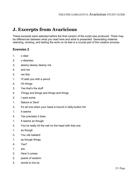# **J. Excerpts from Avaricious**

These excerpts were selected before the final version of the script was produced. There may be differences between what you read here and what is presented. Generating material, selecting, revising, and testing the work on its feet is a crucial part of the creative process.

#### **Evensies 2**

- 1. o dear
- 2. o dearsies
- 3. dearsy dearsy dearsy me
- 4. and me
- 2. me first
- 1. I'll stab you with a pencil
- 4. Oh things
- 3. Yes that's the stuff
- 4. Things and things and things and things
- 2. I want some
- 1. Nature or Devil
- 3. It's all one when your head is bound in belly-button lint
- 1. It seems
- 4. Yes precisely it does
- 1. It seems as though
- 2. You've really hit the nail on the head with that one
- 1. as though
- 3. You vile bastard
- 1. as though things
- 4. Yes?
- 1. are
- 3. Here it comes
- 2. pearls of wisdom
- 4. words to live by